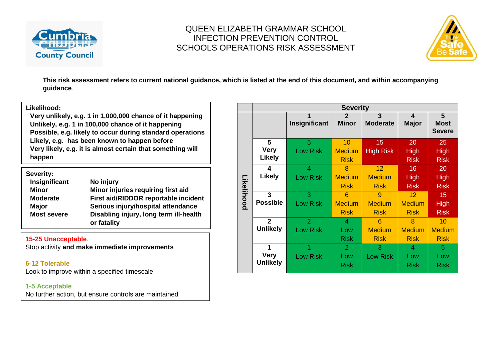



**This risk assessment refers to current national guidance, which is listed at the end of this document, and within accompanying guidance**.

#### **Likelihood:**

**Very unlikely, e.g. 1 in 1,000,000 chance of it happening Unlikely, e.g. 1 in 100,000 chance of it happening Possible, e.g. likely to occur during standard operations Likely, e.g. has been known to happen before Very likely, e.g. it is almost certain that something will happen**

| Severity:          |                                                       |
|--------------------|-------------------------------------------------------|
| Insignificant      | No injury                                             |
| Minor              | Minor injuries requiring first aid                    |
| <b>Moderate</b>    | First aid/RIDDOR reportable incident                  |
| <b>Major</b>       | Serious injury/hospital attendance                    |
| <b>Most severe</b> | Disabling injury, long term ill-health<br>or fatality |

#### **15-25 Unacceptable**.

Stop activity **and make immediate improvements**

#### **6-12 Tolerable**

Look to improve within a specified timescale

#### **1-5 Acceptable**

No further action, but ensure controls are maintained

|            | <b>Severity</b>                     |                                   |                                      |                                   |                                                 |                                    |  |  |  |  |
|------------|-------------------------------------|-----------------------------------|--------------------------------------|-----------------------------------|-------------------------------------------------|------------------------------------|--|--|--|--|
|            |                                     | 1<br>Insignificant                | $\overline{2}$<br><b>Minor</b>       | $\overline{3}$<br><b>Moderate</b> | 4<br>Major                                      | 5<br><b>Most</b><br><b>Severe</b>  |  |  |  |  |
|            | 5<br><b>Very</b><br><b>Likely</b>   | 5<br><b>Low Risk</b>              | 10<br><b>Medium</b>                  | 15<br><b>High Risk</b>            | 20<br>High                                      | 25<br><b>High</b>                  |  |  |  |  |
|            | 4                                   | $\overline{4}$                    | <b>Risk</b><br>8                     | 12                                | <b>Risk</b><br>16                               | <b>Risk</b><br>20                  |  |  |  |  |
| Likelihood | Likely                              | <b>Low Risk</b>                   | <b>Medium</b><br><b>Risk</b>         | <b>Medium</b><br><b>Risk</b>      | High<br><b>Risk</b>                             | <b>High</b><br><b>Risk</b>         |  |  |  |  |
|            | 3<br><b>Possible</b>                | 3<br><b>Low Risk</b>              | 6<br><b>Medium</b><br><b>Risk</b>    | 9<br><b>Medium</b><br><b>Risk</b> | 12 <sup>2</sup><br><b>Medium</b><br><b>Risk</b> | 15<br><b>High</b><br><b>Risk</b>   |  |  |  |  |
|            | $\overline{2}$<br><b>Unlikely</b>   | $\overline{2}$<br><b>Low Risk</b> | 4<br>Low<br><b>Risk</b>              | 6<br><b>Medium</b><br><b>Risk</b> | 8<br><b>Medium</b><br><b>Risk</b>               | 10<br><b>Medium</b><br><b>Risk</b> |  |  |  |  |
|            | 1<br><b>Very</b><br><b>Unlikely</b> | <b>Low Risk</b>                   | $\overline{2}$<br>Low<br><b>Risk</b> | 3<br><b>Low Risk</b>              | 4<br>Low<br><b>Risk</b>                         | 5<br>Low<br><b>Risk</b>            |  |  |  |  |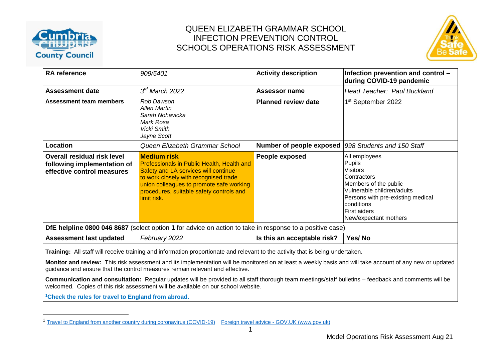

 $\overline{a}$ 

### QUEEN ELIZABETH GRAMMAR SCHOOL INFECTION PREVENTION CONTROL SCHOOLS OPERATIONS RISK ASSESSMENT



| <b>RA</b> reference                                                                                                                                                                                                                                                                        | 909/5401                                                                                                                                                                                                                                                        | <b>Activity description</b> | Infection prevention and control -<br>during COVID-19 pandemic                                                                                                                                                             |  |  |  |  |  |
|--------------------------------------------------------------------------------------------------------------------------------------------------------------------------------------------------------------------------------------------------------------------------------------------|-----------------------------------------------------------------------------------------------------------------------------------------------------------------------------------------------------------------------------------------------------------------|-----------------------------|----------------------------------------------------------------------------------------------------------------------------------------------------------------------------------------------------------------------------|--|--|--|--|--|
| <b>Assessment date</b>                                                                                                                                                                                                                                                                     | $3rd$ March 2022                                                                                                                                                                                                                                                | Assessor name               | Head Teacher: Paul Buckland                                                                                                                                                                                                |  |  |  |  |  |
| Assessment team members                                                                                                                                                                                                                                                                    | Rob Dawson<br><b>Allen Martin</b><br>Sarah Nohavicka<br>Mark Rosa<br>Vicki Smith<br>Jayne Scott                                                                                                                                                                 | <b>Planned review date</b>  | 1 <sup>st</sup> September 2022                                                                                                                                                                                             |  |  |  |  |  |
| Location                                                                                                                                                                                                                                                                                   | Queen Elizabeth Grammar School                                                                                                                                                                                                                                  | Number of people exposed    | 998 Students and 150 Staff                                                                                                                                                                                                 |  |  |  |  |  |
| Overall residual risk level<br>following implementation of<br>effective control measures                                                                                                                                                                                                   | <b>Medium risk</b><br><b>Professionals in Public Health, Health and</b><br>Safety and LA services will continue<br>to work closely with recognised trade<br>union colleagues to promote safe working<br>procedures, suitable safety controls and<br>limit risk. | People exposed              | All employees<br><b>Pupils</b><br><b>Visitors</b><br>Contractors<br>Members of the public<br>Vulnerable children/adults<br>Persons with pre-existing medical<br>conditions<br><b>First aiders</b><br>New/expectant mothers |  |  |  |  |  |
| DfE helpline 0800 046 8687 (select option 1 for advice on action to take in response to a positive case)                                                                                                                                                                                   |                                                                                                                                                                                                                                                                 |                             |                                                                                                                                                                                                                            |  |  |  |  |  |
| <b>Assessment last updated</b>                                                                                                                                                                                                                                                             | February 2022                                                                                                                                                                                                                                                   | Is this an acceptable risk? | Yes/Ne                                                                                                                                                                                                                     |  |  |  |  |  |
| Training: All staff will receive training and information proportionate and relevant to the activity that is being undertaken.<br>Monitor and review: This risk assessment and its implementation will be monitored on at least a weekly basis and will take account of any new or updated |                                                                                                                                                                                                                                                                 |                             |                                                                                                                                                                                                                            |  |  |  |  |  |

guidance and ensure that the control measures remain relevant and effective.

**Communication and consultation:** Regular updates will be provided to all staff thorough team meetings/staff bulletins – feedback and comments will be welcomed. Copies of this risk assessment will be available on our school website.

**<sup>1</sup>Check the rules for travel to England from abroad.**

<sup>&</sup>lt;sup>1</sup> [Travel to England from another country during coronavirus \(COVID-19\)](https://www.gov.uk/guidance/travel-to-england-from-another-country-during-coronavirus-covid-19) Foreign travel advice - [GOV.UK \(www.gov.uk\)](https://www.gov.uk/foreign-travel-advice)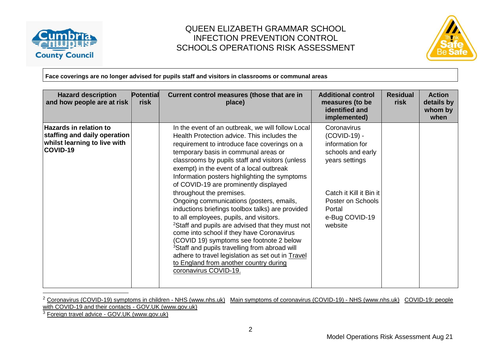



**Face coverings are no longer advised for pupils staff and visitors in classrooms or communal areas**

| <b>Hazard description</b><br>and how people are at risk                                                   | <b>Potential</b><br>risk | Current control measures (those that are in<br>place)                                                                                                                                                                                                                                                                                                                                                                                                                                                                                                                                                                                                                                                                                                                                                                                                                                                  | <b>Additional control</b><br>measures (to be<br>identified and<br>implemented)                                                                                               | <b>Residual</b><br>risk | <b>Action</b><br>details by<br>whom by<br>when |
|-----------------------------------------------------------------------------------------------------------|--------------------------|--------------------------------------------------------------------------------------------------------------------------------------------------------------------------------------------------------------------------------------------------------------------------------------------------------------------------------------------------------------------------------------------------------------------------------------------------------------------------------------------------------------------------------------------------------------------------------------------------------------------------------------------------------------------------------------------------------------------------------------------------------------------------------------------------------------------------------------------------------------------------------------------------------|------------------------------------------------------------------------------------------------------------------------------------------------------------------------------|-------------------------|------------------------------------------------|
| <b>Hazards in relation to</b><br>staffing and daily operation<br>whilst learning to live with<br>COVID-19 |                          | In the event of an outbreak, we will follow Local<br>Health Protection advice. This includes the<br>requirement to introduce face coverings on a<br>temporary basis in communal areas or<br>classrooms by pupils staff and visitors (unless<br>exempt) in the event of a local outbreak<br>Information posters highlighting the symptoms<br>of COVID-19 are prominently displayed<br>throughout the premises.<br>Ongoing communications (posters, emails,<br>inductions briefings toolbox talks) are provided<br>to all employees, pupils, and visitors.<br><sup>2</sup> Staff and pupils are advised that they must not<br>come into school if they have Coronavirus<br>(COVID 19) symptoms see footnote 2 below<br><sup>3</sup> Staff and pupils travelling from abroad will<br>adhere to travel legislation as set out in Travel<br>to England from another country during<br>coronavirus COVID-19. | Coronavirus<br>(COVID-19) -<br>information for<br>schools and early<br>years settings<br>Catch it Kill it Bin it<br>Poster on Schools<br>Portal<br>e-Bug COVID-19<br>website |                         |                                                |

<sup>&</sup>lt;sup>2</sup> [Coronavirus \(COVID-19\) symptoms in children -](https://www.nhs.uk/conditions/coronavirus-covid-19/symptoms/coronavirus-in-children/) NHS (www.nhs.uk) [Main symptoms of coronavirus \(COVID-19\) -](https://www.nhs.uk/conditions/coronavirus-covid-19/symptoms/main-symptoms/) NHS (www.nhs.uk) COVID-19: people [with COVID-19 and their contacts -](https://www.gov.uk/government/publications/covid-19-people-with-covid-19-and-their-contacts/covid-19-people-with-covid-19-and-their-contacts) GOV.UK (www.gov.uk)

<sup>3</sup> Foreign travel advice - [GOV.UK \(www.gov.uk\)](https://www.gov.uk/foreign-travel-advice)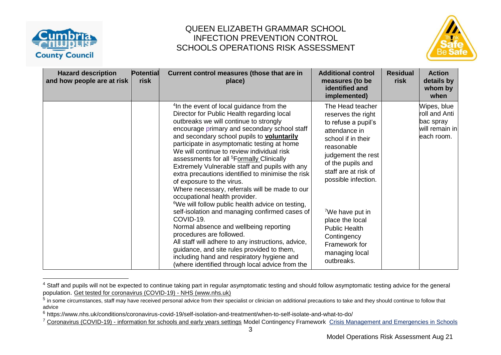



| <b>Hazard description</b><br>and how people are at risk | <b>Potential</b><br>risk | Current control measures (those that are in<br>place)                                                                                                                                                                                                                                                                                                                                                                                                                                                                                                                                                                                                                                                                                                                                                                                                                                                                                                                                                                            | <b>Additional control</b><br>measures (to be<br>identified and<br>implemented)                                                                                                                                                                                                                                                                         | <b>Residual</b><br>risk | <b>Action</b><br>details by<br>whom by<br>when                            |
|---------------------------------------------------------|--------------------------|----------------------------------------------------------------------------------------------------------------------------------------------------------------------------------------------------------------------------------------------------------------------------------------------------------------------------------------------------------------------------------------------------------------------------------------------------------------------------------------------------------------------------------------------------------------------------------------------------------------------------------------------------------------------------------------------------------------------------------------------------------------------------------------------------------------------------------------------------------------------------------------------------------------------------------------------------------------------------------------------------------------------------------|--------------------------------------------------------------------------------------------------------------------------------------------------------------------------------------------------------------------------------------------------------------------------------------------------------------------------------------------------------|-------------------------|---------------------------------------------------------------------------|
|                                                         |                          | <sup>4</sup> In the event of local guidance from the<br>Director for Public Health regarding local<br>outbreaks we will continue to strongly<br>encourage primary and secondary school staff<br>and secondary school pupils to voluntarily<br>participate in asymptomatic testing at home<br>We will continue to review individual risk<br>assessments for all <sup>5</sup> Formally Clinically<br>Extremely Vulnerable staff and pupils with any<br>extra precautions identified to minimise the risk<br>of exposure to the virus.<br>Where necessary, referrals will be made to our<br>occupational health provider.<br><sup>6</sup> We will follow public health advice on testing,<br>self-isolation and managing confirmed cases of<br>COVID-19.<br>Normal absence and wellbeing reporting<br>procedures are followed.<br>All staff will adhere to any instructions, advice,<br>guidance, and site rules provided to them,<br>including hand and respiratory hygiene and<br>(where identified through local advice from the | The Head teacher<br>reserves the right<br>to refuse a pupil's<br>attendance in<br>school if in their<br>reasonable<br>judgement the rest<br>of the pupils and<br>staff are at risk of<br>possible infection.<br><sup>7</sup> We have put in<br>place the local<br><b>Public Health</b><br>Contingency<br>Framework for<br>managing local<br>outbreaks. |                         | Wipes, blue<br>roll and Anti<br>bac spray<br>will remain in<br>each room. |

<sup>&</sup>lt;sup>4</sup> Staff and pupils will not be expected to continue taking part in regular asymptomatic testing and should follow asymptomatic testing advice for the general population. [Get tested for coronavirus \(COVID-19\) -](https://www.nhs.uk/conditions/coronavirus-covid-19/testing/get-tested-for-coronavirus/) NHS (www.nhs.uk)

<sup>&</sup>lt;sup>5</sup> in some circumstances, staff may have received personal advice from their specialist or clinician on additional precautions to take and they should continue to follow that advice

<sup>6</sup> https://www.nhs.uk/conditions/coronavirus-covid-19/self-isolation-and-treatment/when-to-self-isolate-and-what-to-do/

<sup>&</sup>lt;sup>7</sup> Coronavirus (COVID-19) - [information for schools and early years settings](https://www.cumbria.gov.uk/coronavirus/education.asp) Model Contingency Framework [Crisis Management and Emergencies in Schools](https://schools.cumbria.gov.uk/Reference%20Library/Forms/AllItems.aspx?RootFolder=%2FReference%20Library%2FHealth%20and%20Safety%2FCrisis%20Management%20and%20Emergencies%20in%20Schools&FolderCTID=0x01200048726C2A165D504480BCAF32B116BC9E&View=%7B9FFF4988%2D18AD%2D4845%2D9E0A%2DC419CCBA536A%7D)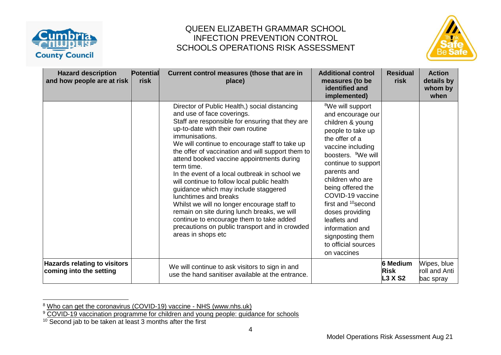



| <b>Hazard description</b><br>and how people are at risk        | <b>Potential</b><br>risk | Current control measures (those that are in<br>place)                                                                                                                                                                                                                                                                                                                                                                                                                                                                                                                                                                                                                                                                                       | <b>Additional control</b><br>measures (to be<br>identified and<br>implemented)                                                                                                                                                                                                                                                                                                                                           | <b>Residual</b><br>risk                          | <b>Action</b><br>details by<br>whom by<br>when |
|----------------------------------------------------------------|--------------------------|---------------------------------------------------------------------------------------------------------------------------------------------------------------------------------------------------------------------------------------------------------------------------------------------------------------------------------------------------------------------------------------------------------------------------------------------------------------------------------------------------------------------------------------------------------------------------------------------------------------------------------------------------------------------------------------------------------------------------------------------|--------------------------------------------------------------------------------------------------------------------------------------------------------------------------------------------------------------------------------------------------------------------------------------------------------------------------------------------------------------------------------------------------------------------------|--------------------------------------------------|------------------------------------------------|
|                                                                |                          | Director of Public Health,) social distancing<br>and use of face coverings.<br>Staff are responsible for ensuring that they are<br>up-to-date with their own routine<br>immunisations.<br>We will continue to encourage staff to take up<br>the offer of vaccination and will support them to<br>attend booked vaccine appointments during<br>term time.<br>In the event of a local outbreak in school we<br>will continue to follow local public health<br>guidance which may include staggered<br>lunchtimes and breaks<br>Whilst we will no longer encourage staff to<br>remain on site during lunch breaks, we will<br>continue to encourage them to take added<br>precautions on public transport and in crowded<br>areas in shops etc | <sup>8</sup> We will support<br>and encourage our<br>children & young<br>people to take up<br>the offer of a<br>vaccine including<br>boosters. <sup>9</sup> We will<br>continue to support<br>parents and<br>children who are<br>being offered the<br>COVID-19 vaccine<br>first and <sup>10</sup> second<br>doses providing<br>leaflets and<br>information and<br>signposting them<br>to official sources<br>on vaccines |                                                  |                                                |
| <b>Hazards relating to visitors</b><br>coming into the setting |                          | We will continue to ask visitors to sign in and<br>use the hand sanitiser available at the entrance.                                                                                                                                                                                                                                                                                                                                                                                                                                                                                                                                                                                                                                        |                                                                                                                                                                                                                                                                                                                                                                                                                          | <b>6 Medium</b><br><b>Risk</b><br><b>L3 X S2</b> | Wipes, blue<br>roll and Anti<br>bac spray      |

<sup>&</sup>lt;sup>8</sup> [Who can get the coronavirus \(COVID-19\) vaccine -](https://www.nhs.uk/conditions/coronavirus-covid-19/coronavirus-vaccination/who-can-get-the-vaccine/) NHS (www.nhs.uk)

<sup>&</sup>lt;sup>9</sup> [COVID-19 vaccination programme for children and young people: guidance for](https://www.gov.uk/government/publications/covid-19-vaccination-resources-for-schools/covid-19-vaccination-programme-for-children-and-young-people-guidance-for-schools) schools

 $10$  Second jab to be taken at least 3 months after the first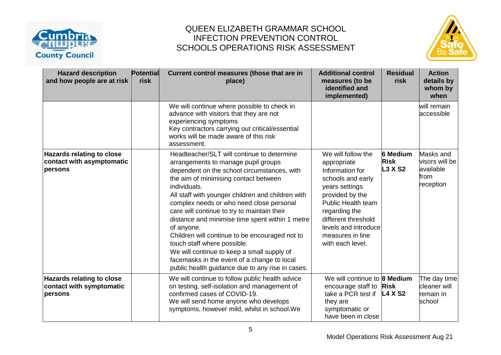



| <b>Hazard description</b><br>and how people are at risk                  | <b>Potential</b><br>risk | Current control measures (those that are in<br>place)                                                                                                                                                                                                                                                                                                                                                                                                                                                                                                                                                                                        | <b>Additional control</b><br>measures (to be<br>identified and<br>implemented)                                                                                                                                                                      | <b>Residual</b><br>risk                          | <b>Action</b><br>details by<br>whom by<br>when                |
|--------------------------------------------------------------------------|--------------------------|----------------------------------------------------------------------------------------------------------------------------------------------------------------------------------------------------------------------------------------------------------------------------------------------------------------------------------------------------------------------------------------------------------------------------------------------------------------------------------------------------------------------------------------------------------------------------------------------------------------------------------------------|-----------------------------------------------------------------------------------------------------------------------------------------------------------------------------------------------------------------------------------------------------|--------------------------------------------------|---------------------------------------------------------------|
|                                                                          |                          | We will continue where possible to check in<br>advance with visitors that they are not<br>experiencing symptoms<br>Key contractors carrying out critical/essential<br>works will be made aware of this risk<br>assessment.                                                                                                                                                                                                                                                                                                                                                                                                                   |                                                                                                                                                                                                                                                     |                                                  | will remain<br>accessible                                     |
| <b>Hazards relating to close</b><br>contact with asymptomatic<br>persons |                          | Headteacher/SLT will continue to determine<br>arrangements to manage pupil groups<br>dependent on the school circumstances, with<br>the aim of minimising contact between<br>individuals.<br>All staff with younger children and children with<br>complex needs or who need close personal<br>care will continue to try to maintain their<br>distance and minimise time spent within 1 metre<br>of anyone.<br>Children will continue to be encouraged not to<br>touch staff where possible.<br>We will continue to keep a small supply of<br>facemasks in the event of a change to local<br>public health guidance due to any rise in cases. | We will follow the<br>appropriate<br>Information for<br>schools and early<br>years settings<br>provided by the<br><b>Public Health team</b><br>regarding the<br>different threshold<br>levels and introduce<br>measures in line<br>with each level. | <b>6 Medium</b><br><b>Risk</b><br><b>L3 X S2</b> | Masks and<br>visors will be<br>available<br>from<br>reception |
| <b>Hazards relating to close</b><br>contact with symptomatic<br>persons  |                          | We will continue to follow public health advice<br>on testing, self-isolation and management of<br>confirmed cases of COVID-19.<br>We will send home anyone who develops<br>symptoms, however mild, whilst in school. We                                                                                                                                                                                                                                                                                                                                                                                                                     | We will continue to 8 Medium<br>encourage staff to<br>take a PCR test if<br>they are<br>symptomatic or<br>have been in close                                                                                                                        | <b>Risk</b><br>L4 X S2                           | The day time<br>cleaner will<br>remain in<br>school           |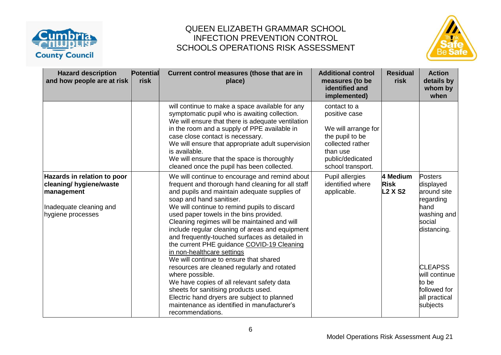



| <b>Hazard description</b><br>and how people are at risk                                                              | <b>Potential</b><br>risk | Current control measures (those that are in<br>place)                                                                                                                                                                                                                                                                                                                                                                                                                                                                                                 | <b>Additional control</b><br>measures (to be<br>identified and<br>implemented)                                                                   | <b>Residual</b><br>risk                   | <b>Action</b><br>details by<br>whom by<br>when                                                   |
|----------------------------------------------------------------------------------------------------------------------|--------------------------|-------------------------------------------------------------------------------------------------------------------------------------------------------------------------------------------------------------------------------------------------------------------------------------------------------------------------------------------------------------------------------------------------------------------------------------------------------------------------------------------------------------------------------------------------------|--------------------------------------------------------------------------------------------------------------------------------------------------|-------------------------------------------|--------------------------------------------------------------------------------------------------|
|                                                                                                                      |                          | will continue to make a space available for any<br>symptomatic pupil who is awaiting collection.<br>We will ensure that there is adequate ventilation<br>in the room and a supply of PPE available in<br>case close contact is necessary.<br>We will ensure that appropriate adult supervision<br>is available.<br>We will ensure that the space is thoroughly<br>cleaned once the pupil has been collected.                                                                                                                                          | contact to a<br>positive case<br>We will arrange for<br>the pupil to be<br>collected rather<br>than use<br>public/dedicated<br>school transport. |                                           |                                                                                                  |
| Hazards in relation to poor<br>cleaning/ hygiene/waste<br>management<br>Inadequate cleaning and<br>hygiene processes |                          | We will continue to encourage and remind about<br>frequent and thorough hand cleaning for all staff<br>and pupils and maintain adequate supplies of<br>soap and hand sanitiser.<br>We will continue to remind pupils to discard<br>used paper towels in the bins provided.<br>Cleaning regimes will be maintained and will<br>include regular cleaning of areas and equipment<br>and frequently-touched surfaces as detailed in<br>the current PHE guidance COVID-19 Cleaning<br>in non-healthcare settings<br>We will continue to ensure that shared | Pupil allergies<br>identified where<br>applicable.                                                                                               | 4 Medium<br><b>Risk</b><br><b>L2 X S2</b> | Posters<br>displayed<br>around site<br>regarding<br>hand<br>washing and<br>social<br>distancing. |
|                                                                                                                      |                          | resources are cleaned regularly and rotated<br>where possible.<br>We have copies of all relevant safety data<br>sheets for sanitising products used.<br>Electric hand dryers are subject to planned<br>maintenance as identified in manufacturer's<br>recommendations.                                                                                                                                                                                                                                                                                |                                                                                                                                                  |                                           | <b>CLEAPSS</b><br>will continue<br>to be<br>followed for<br>all practical<br>subjects            |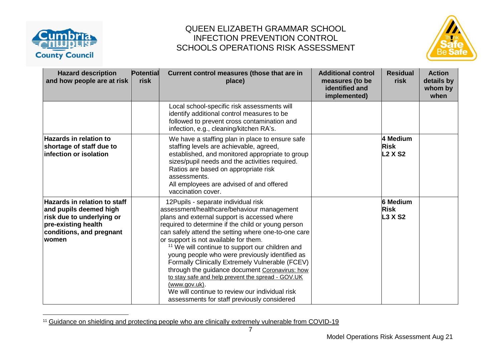

 $\overline{a}$ 



| <b>Hazard description</b><br>and how people are at risk                                                                                                        | <b>Potential</b><br>risk | Current control measures (those that are in<br>place)                                                                                                                                                                                                                                                                                                                                                                                                                                                                                                                                                                                                                                        | <b>Additional control</b><br>measures (to be<br>identified and<br>implemented) | <b>Residual</b><br>risk                   | <b>Action</b><br>details by<br>whom by<br>when |
|----------------------------------------------------------------------------------------------------------------------------------------------------------------|--------------------------|----------------------------------------------------------------------------------------------------------------------------------------------------------------------------------------------------------------------------------------------------------------------------------------------------------------------------------------------------------------------------------------------------------------------------------------------------------------------------------------------------------------------------------------------------------------------------------------------------------------------------------------------------------------------------------------------|--------------------------------------------------------------------------------|-------------------------------------------|------------------------------------------------|
|                                                                                                                                                                |                          | Local school-specific risk assessments will<br>identify additional control measures to be<br>followed to prevent cross contamination and<br>infection, e.g., cleaning/kitchen RA's.                                                                                                                                                                                                                                                                                                                                                                                                                                                                                                          |                                                                                |                                           |                                                |
| <b>Hazards in relation to</b><br>shortage of staff due to<br>infection or isolation                                                                            |                          | We have a staffing plan in place to ensure safe<br>staffing levels are achievable, agreed,<br>established, and monitored appropriate to group<br>sizes/pupil needs and the activities required.<br>Ratios are based on appropriate risk<br>assessments.<br>All employees are advised of and offered<br>vaccination cover.                                                                                                                                                                                                                                                                                                                                                                    |                                                                                | 4 Medium<br><b>Risk</b><br><b>L2 X S2</b> |                                                |
| <b>Hazards in relation to staff</b><br>and pupils deemed high<br>risk due to underlying or<br>pre-existing health<br>conditions, and pregnant<br><b>lwomen</b> |                          | 12 Pupils - separate individual risk<br>assessment/healthcare/behaviour management<br>plans and external support is accessed where<br>required to determine if the child or young person<br>can safely attend the setting where one-to-one care<br>or support is not available for them.<br><sup>11</sup> We will continue to support our children and<br>young people who were previously identified as<br>Formally Clinically Extremely Vulnerable (FCEV)<br>through the guidance document Coronavirus: how<br>to stay safe and help prevent the spread - GOV.UK<br><u>(www.gov.uk)</u> .<br>We will continue to review our individual risk<br>assessments for staff previously considered |                                                                                | <b>6 Medium</b><br><b>Risk</b><br>L3 X S2 |                                                |

<sup>&</sup>lt;sup>11</sup> [Guidance on shielding and protecting people who are clinically extremely vulnerable from COVID-19](https://www.gov.uk/government/publications/guidance-on-shielding-and-protecting-extremely-vulnerable-persons-from-covid-19/guidance-on-shielding-and-protecting-extremely-vulnerable-persons-from-covid-19)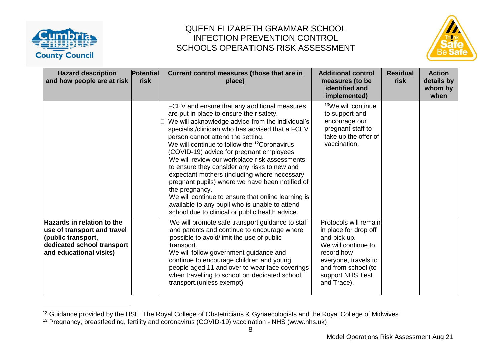

### QUEEN ELIZABETH GRAMMAR SCHOOL INFECTION PREVENTION CONTROL SCHOOLS OPERATIONS RISK ASSESSMENT



| <b>Hazard description</b><br>and how people are at risk                                                                                         | <b>Potential</b><br>risk | Current control measures (those that are in<br>place)                                                                                                                                                                                                                                                                                                                                                                                                                                                                                                                                                                                                                                                                          | <b>Additional control</b><br>measures (to be<br>identified and<br>implemented)                                                                                                        | <b>Residual</b><br>risk | <b>Action</b><br>details by<br>whom by<br>when |
|-------------------------------------------------------------------------------------------------------------------------------------------------|--------------------------|--------------------------------------------------------------------------------------------------------------------------------------------------------------------------------------------------------------------------------------------------------------------------------------------------------------------------------------------------------------------------------------------------------------------------------------------------------------------------------------------------------------------------------------------------------------------------------------------------------------------------------------------------------------------------------------------------------------------------------|---------------------------------------------------------------------------------------------------------------------------------------------------------------------------------------|-------------------------|------------------------------------------------|
|                                                                                                                                                 |                          | FCEV and ensure that any additional measures<br>are put in place to ensure their safety.<br>We will acknowledge advice from the individual's<br>specialist/clinician who has advised that a FCEV<br>person cannot attend the setting.<br>We will continue to follow the <sup>12</sup> Coronavirus<br>(COVID-19) advice for pregnant employees<br>We will review our workplace risk assessments<br>to ensure they consider any risks to new and<br>expectant mothers (including where necessary<br>pregnant pupils) where we have been notified of<br>the pregnancy.<br>We will continue to ensure that online learning is<br>available to any pupil who is unable to attend<br>school due to clinical or public health advice. | <sup>13</sup> We will continue<br>to support and<br>encourage our<br>pregnant staff to<br>take up the offer of<br>vaccination.                                                        |                         |                                                |
| <b>Hazards in relation to the</b><br>use of transport and travel<br>(public transport,<br>dedicated school transport<br>and educational visits) |                          | We will promote safe transport guidance to staff<br>and parents and continue to encourage where<br>possible to avoid/limit the use of public<br>transport.<br>We will follow government guidance and<br>continue to encourage children and young<br>people aged 11 and over to wear face coverings<br>when travelling to school on dedicated school<br>transport. (unless exempt)                                                                                                                                                                                                                                                                                                                                              | Protocols will remain<br>in place for drop off<br>and pick up.<br>We will continue to<br>record how<br>everyone, travels to<br>and from school (to<br>support NHS Test<br>and Trace). |                         |                                                |

<sup>&</sup>lt;sup>12</sup> Guidance provided by the HSE, The Royal College of Obstetricians & Gynaecologists and the Royal College of Midwives <sup>13</sup> [Pregnancy, breastfeeding, fertility and coronavirus \(COVID-19\) vaccination -](https://www.nhs.uk/conditions/coronavirus-covid-19/coronavirus-vaccination/pregnancy-breastfeeding-fertility-and-coronavirus-covid-19-vaccination/) NHS (www.nhs.uk)

8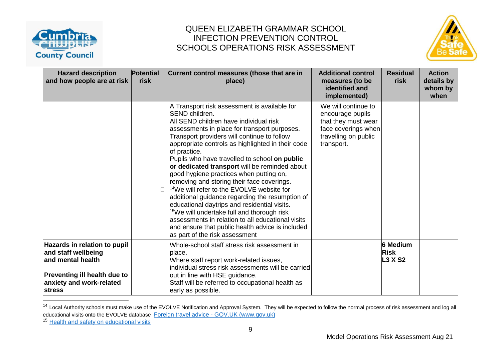



| <b>Hazard description</b><br>and how people are at risk                                                                                                      | <b>Potential</b><br>risk | Current control measures (those that are in<br>place)                                                                                                                                                                                                                                                                                                                                                                                                                                                                                                                                                                                                                                                                                                                                                                                    | <b>Additional control</b><br>measures (to be<br>identified and<br>implemented)                                              | <b>Residual</b><br>risk                          | <b>Action</b><br>details by<br>whom by<br>when |
|--------------------------------------------------------------------------------------------------------------------------------------------------------------|--------------------------|------------------------------------------------------------------------------------------------------------------------------------------------------------------------------------------------------------------------------------------------------------------------------------------------------------------------------------------------------------------------------------------------------------------------------------------------------------------------------------------------------------------------------------------------------------------------------------------------------------------------------------------------------------------------------------------------------------------------------------------------------------------------------------------------------------------------------------------|-----------------------------------------------------------------------------------------------------------------------------|--------------------------------------------------|------------------------------------------------|
|                                                                                                                                                              |                          | A Transport risk assessment is available for<br>SEND children.<br>All SEND children have individual risk<br>assessments in place for transport purposes.<br>Transport providers will continue to follow<br>appropriate controls as highlighted in their code<br>of practice.<br>Pupils who have travelled to school on public<br>or dedicated transport will be reminded about<br>good hygiene practices when putting on,<br>removing and storing their face coverings.<br><sup>14</sup> We will refer to-the EVOLVE website for<br>additional guidance regarding the resumption of<br>educational daytrips and residential visits.<br><sup>15</sup> We will undertake full and thorough risk<br>assessments in relation to all educational visits<br>and ensure that public health advice is included<br>as part of the risk assessment | We will continue to<br>encourage pupils<br>that they must wear<br>face coverings when<br>travelling on public<br>transport. |                                                  |                                                |
| Hazards in relation to pupil<br>and staff wellbeing<br>and mental health<br><b>Preventing ill health due to</b><br>anxiety and work-related<br><b>stress</b> |                          | Whole-school staff stress risk assessment in<br>place.<br>Where staff report work-related issues,<br>individual stress risk assessments will be carried<br>out in line with HSE guidance.<br>Staff will be referred to occupational health as<br>early as possible.                                                                                                                                                                                                                                                                                                                                                                                                                                                                                                                                                                      |                                                                                                                             | <b>6 Medium</b><br><b>Risk</b><br><b>L3 X S2</b> |                                                |

<sup>&</sup>lt;sup>14</sup> Local Authority schools must make use of the EVOLVE Notification and Approval System. They will be expected to follow the normal process of risk assessment and log all educational visits onto the EVOLVE database Foreign travel advice - [GOV.UK \(www.gov.uk\)](https://www.gov.uk/foreign-travel-advice)

<sup>15</sup> [Health and safety on educational visits](https://www.gov.uk/government/publications/health-and-safety-on-educational-visits)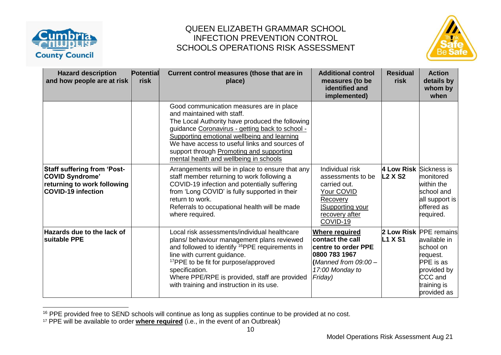



| <b>Hazard description</b><br>and how people are at risk                                                                  | Potential<br>risk | Current control measures (those that are in<br>place)                                                                                                                                                                                                                                                                                                              | <b>Additional control</b><br>measures (to be<br>identified and<br>implemented)                                                           | <b>Residual</b><br>risk                  | <b>Action</b><br>details by<br>whom by<br>when                                                                                              |
|--------------------------------------------------------------------------------------------------------------------------|-------------------|--------------------------------------------------------------------------------------------------------------------------------------------------------------------------------------------------------------------------------------------------------------------------------------------------------------------------------------------------------------------|------------------------------------------------------------------------------------------------------------------------------------------|------------------------------------------|---------------------------------------------------------------------------------------------------------------------------------------------|
|                                                                                                                          |                   | Good communication measures are in place<br>and maintained with staff.<br>The Local Authority have produced the following<br>guidance Coronavirus - getting back to school -<br>Supporting emotional wellbeing and learning<br>We have access to useful links and sources of<br>support through Promoting and supporting<br>mental health and wellbeing in schools |                                                                                                                                          |                                          |                                                                                                                                             |
| <b>Staff suffering from 'Post-</b><br><b>COVID Syndrome'</b><br>returning to work following<br><b>COVID-19 infection</b> |                   | Arrangements will be in place to ensure that any<br>staff member returning to work following a<br>COVID-19 infection and potentially suffering<br>from 'Long COVID' is fully supported in their<br>return to work.<br>Referrals to occupational health will be made<br>where required.                                                                             | Individual risk<br>assessments to be<br>carried out.<br>Your COVID<br>Recovery<br>Supporting your<br>recovery after<br>COVID-19          | 4 Low Risk Sickness is<br><b>L2 X S2</b> | monitored<br>within the<br>school and<br>all support is<br>offered as<br>required.                                                          |
| <b>Hazards due to the lack of</b><br><b>Suitable PPE</b>                                                                 |                   | Local risk assessments/individual healthcare<br>plans/ behaviour management plans reviewed<br>and followed to identify <sup>16</sup> PPE requirements in<br>line with current guidance.<br><sup>17</sup> PPE to be fit for purpose/approved<br>specification.<br>Where PPE/RPE is provided, staff are provided<br>with training and instruction in its use.        | <b>Where required</b><br>contact the call<br>centre to order PPE<br>0800 783 1967<br>(Manned from $09:00-$<br>17:00 Monday to<br>Friday) | <b>L1 X S1</b>                           | 2 Low Risk PPE remains<br>available in<br>school on<br>request.<br><b>PPE</b> is as<br>provided by<br>CCC and<br>training is<br>provided as |

<sup>&</sup>lt;sup>16</sup> PPE provided free to SEND schools will continue as long as supplies continue to be provided at no cost.

<sup>17</sup> PPE will be available to order **where required** (i.e., in the event of an Outbreak)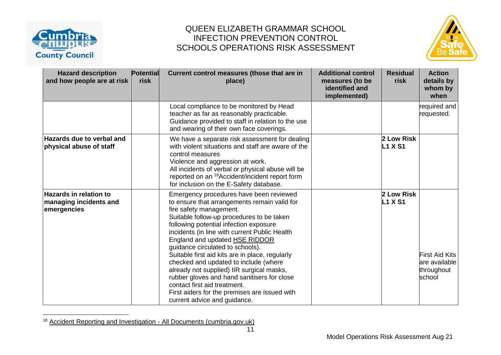

 $\overline{a}$ 



| <b>Hazard description</b><br>and how people are at risk                | <b>Potential</b><br>risk | Current control measures (those that are in<br>place)                                                                                                                                                                                                                                                                                                                                                                                                                                                                                                                                                                                     | <b>Additional control</b><br>measures (to be<br>identified and<br>implemented) | <b>Residual</b><br>risk      | <b>Action</b><br>details by<br>whom by<br>when                 |
|------------------------------------------------------------------------|--------------------------|-------------------------------------------------------------------------------------------------------------------------------------------------------------------------------------------------------------------------------------------------------------------------------------------------------------------------------------------------------------------------------------------------------------------------------------------------------------------------------------------------------------------------------------------------------------------------------------------------------------------------------------------|--------------------------------------------------------------------------------|------------------------------|----------------------------------------------------------------|
|                                                                        |                          | Local compliance to be monitored by Head<br>teacher as far as reasonably practicable.<br>Guidance provided to staff in relation to the use<br>and wearing of their own face coverings.                                                                                                                                                                                                                                                                                                                                                                                                                                                    |                                                                                |                              | required and<br>requested.                                     |
| <b>Hazards due to verbal and</b><br>physical abuse of staff            |                          | We have a separate risk assessment for dealing<br>with violent situations and staff are aware of the<br>control measures<br>Violence and aggression at work.<br>All incidents of verbal or physical abuse will be<br>reported on an <sup>18</sup> Accident/incident report form<br>for inclusion on the E-Safety database.                                                                                                                                                                                                                                                                                                                |                                                                                | 2 Low Risk<br><b>L1 X S1</b> |                                                                |
| $\sf{Hazards}$ in relation to<br>managing incidents and<br>emergencies |                          | Emergency procedures have been reviewed<br>to ensure that arrangements remain valid for<br>fire safety management.<br>Suitable follow-up procedures to be taken<br>following potential infection exposure<br>incidents (in line with current Public Health<br>England and updated HSE RIDDOR<br>guidance circulated to schools).<br>Suitable first aid kits are in place, regularly<br>checked and updated to include (where<br>already not supplied) IIR surgical masks,<br>rubber gloves and hand sanitisers for close<br>contact first aid treatment.<br>First aiders for the premises are issued with<br>current advice and guidance. |                                                                                | 2 Low Risk<br><b>L1 X S1</b> | <b>First Aid Kits</b><br>are available<br>throughout<br>school |

<sup>&</sup>lt;sup>18</sup> [Accident Reporting and Investigation](https://schools.cumbria.gov.uk/Reference%20Library/Forms/AllItems.aspx?RootFolder=%2FReference%20Library%2FHealth%20and%20Safety%2FAccident%20Reporting%20and%20Investigation&FolderCTID=0x01200048726C2A165D504480BCAF32B116BC9E&View=%7B9FFF4988%2D18AD%2D4845%2D9E0A%2DC419CCBA536A%7D) - All Documents (cumbria.gov.uk)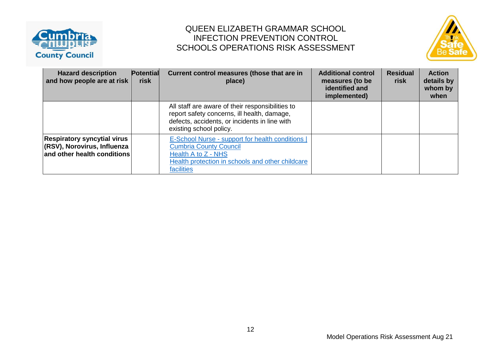



| <b>Hazard description</b><br>and how people are at risk                                          | Potential<br>risk | Current control measures (those that are in<br>place)                                                                                                                       | <b>Additional control</b><br>measures (to be<br>identified and<br>implemented) | <b>Residual</b><br>risk | <b>Action</b><br>details by<br>whom by<br>when |
|--------------------------------------------------------------------------------------------------|-------------------|-----------------------------------------------------------------------------------------------------------------------------------------------------------------------------|--------------------------------------------------------------------------------|-------------------------|------------------------------------------------|
|                                                                                                  |                   | All staff are aware of their responsibilities to<br>report safety concerns, ill health, damage,<br>defects, accidents, or incidents in line with<br>existing school policy. |                                                                                |                         |                                                |
| <b>Respiratory syncytial virus</b><br>(RSV), Norovirus, Influenza<br>and other health conditions |                   | E-School Nurse - support for health conditions  <br><b>Cumbria County Council</b><br>Health A to Z - NHS<br>Health protection in schools and other childcare<br>facilities  |                                                                                |                         |                                                |